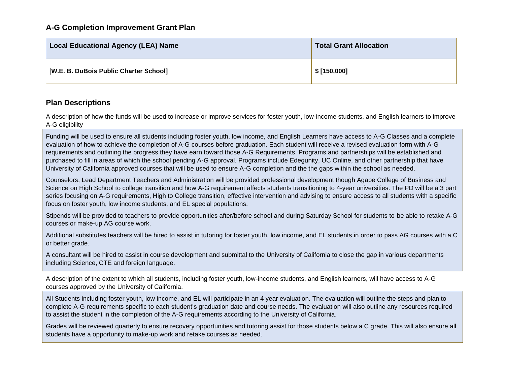| <b>Local Educational Agency (LEA) Name</b> | <b>Total Grant Allocation</b> |
|--------------------------------------------|-------------------------------|
| [W.E. B. DuBois Public Charter School]     | \$[150,000]                   |

## **Plan Descriptions**

A description of how the funds will be used to increase or improve services for foster youth, low-income students, and English learners to improve A-G eligibility

Funding will be used to ensure all students including foster youth, low income, and English Learners have access to A-G Classes and a complete evaluation of how to achieve the completion of A-G courses before graduation. Each student will receive a revised evaluation form with A-G requirements and outlining the progress they have earn toward those A-G Requirements. Programs and partnerships will be established and purchased to fill in areas of which the school pending A-G approval. Programs include Edegunity, UC Online, and other partnership that have University of California approved courses that will be used to ensure A-G completion and the the gaps within the school as needed.

Counselors, Lead Department Teachers and Administration will be provided professional development though Agape College of Business and Science on High School to college transition and how A-G requirement affects students transitioning to 4-year universities. The PD will be a 3 part series focusing on A-G requirements, High to College transition, effective intervention and advising to ensure access to all students with a specific focus on foster youth, low income students, and EL special populations.

Stipends will be provided to teachers to provide opportunities after/before school and during Saturday School for students to be able to retake A-G courses or make-up AG course work.

Additional substitutes teachers will be hired to assist in tutoring for foster youth, low income, and EL students in order to pass AG courses with a C or better grade.

A consultant will be hired to assist in course development and submittal to the University of California to close the gap in various departments including Science, CTE and foreign language.

A description of the extent to which all students, including foster youth, low-income students, and English learners, will have access to A-G courses approved by the University of California.

All Students including foster youth, low income, and EL will participate in an 4 year evaluation. The evaluation will outline the steps and plan to complete A-G requirements specific to each student's graduation date and course needs. The evaluation will also outline any resources required to assist the student in the completion of the A-G requirements according to the University of California.

Grades will be reviewed quarterly to ensure recovery opportunities and tutoring assist for those students below a C grade. This will also ensure all students have a opportunity to make-up work and retake courses as needed.